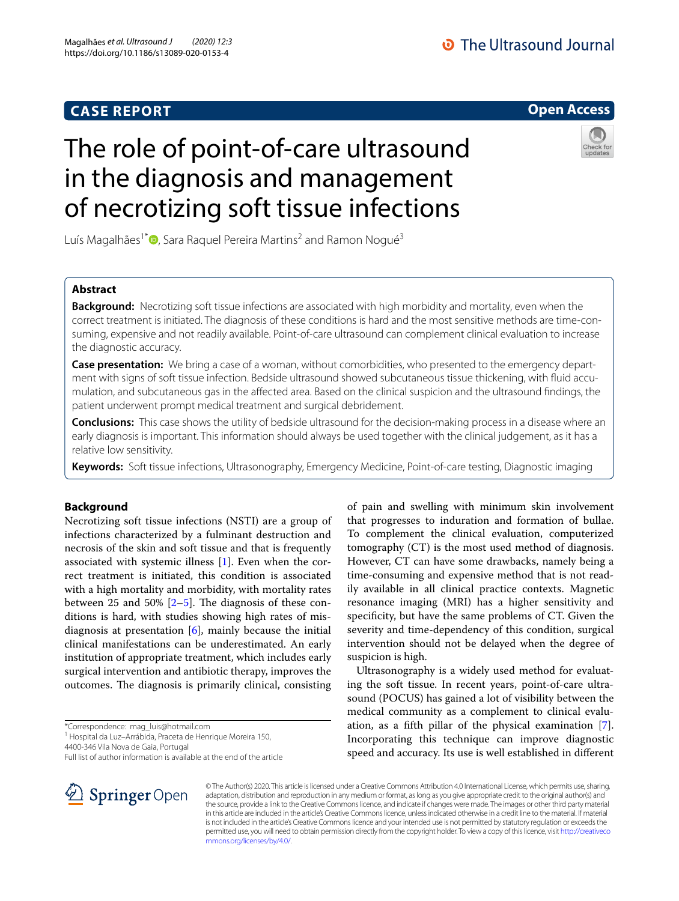## **CASE REPORT**

## **O** The Ultrasound Journal

## **Open Access**

# The role of point-of-care ultrasound in the diagnosis and management of necrotizing soft tissue infections



Luís Magalhães<sup>1\*</sup>®[,](http://orcid.org/0000-0002-2953-8475) Sara Raquel Pereira Martins<sup>2</sup> and Ramon Nogué<sup>3</sup>

## **Abstract**

**Background:** Necrotizing soft tissue infections are associated with high morbidity and mortality, even when the correct treatment is initiated. The diagnosis of these conditions is hard and the most sensitive methods are time-consuming, expensive and not readily available. Point-of-care ultrasound can complement clinical evaluation to increase the diagnostic accuracy.

**Case presentation:** We bring a case of a woman, without comorbidities, who presented to the emergency department with signs of soft tissue infection. Bedside ultrasound showed subcutaneous tissue thickening, with fuid accumulation, and subcutaneous gas in the afected area. Based on the clinical suspicion and the ultrasound fndings, the patient underwent prompt medical treatment and surgical debridement.

**Conclusions:** This case shows the utility of bedside ultrasound for the decision-making process in a disease where an early diagnosis is important. This information should always be used together with the clinical judgement, as it has a relative low sensitivity.

**Keywords:** Soft tissue infections, Ultrasonography, Emergency Medicine, Point-of-care testing, Diagnostic imaging

## **Background**

Necrotizing soft tissue infections (NSTI) are a group of infections characterized by a fulminant destruction and necrosis of the skin and soft tissue and that is frequently associated with systemic illness [[1\]](#page-4-0). Even when the correct treatment is initiated, this condition is associated with a high mortality and morbidity, with mortality rates between 25 and 50%  $[2-5]$  $[2-5]$  $[2-5]$ . The diagnosis of these conditions is hard, with studies showing high rates of misdiagnosis at presentation  $[6]$  $[6]$ , mainly because the initial clinical manifestations can be underestimated. An early institution of appropriate treatment, which includes early surgical intervention and antibiotic therapy, improves the outcomes. The diagnosis is primarily clinical, consisting

\*Correspondence: mag\_luis@hotmail.com

<sup>1</sup> Hospital da Luz-Arrábida, Praceta de Henrique Moreira 150,

4400-346 Vila Nova de Gaia, Portugal

of pain and swelling with minimum skin involvement that progresses to induration and formation of bullae. To complement the clinical evaluation, computerized tomography (CT) is the most used method of diagnosis. However, CT can have some drawbacks, namely being a time-consuming and expensive method that is not readily available in all clinical practice contexts. Magnetic resonance imaging (MRI) has a higher sensitivity and specifcity, but have the same problems of CT. Given the severity and time-dependency of this condition, surgical intervention should not be delayed when the degree of suspicion is high.

Ultrasonography is a widely used method for evaluating the soft tissue. In recent years, point-of-care ultrasound (POCUS) has gained a lot of visibility between the medical community as a complement to clinical evaluation, as a ffth pillar of the physical examination [\[7](#page-4-4)]. Incorporating this technique can improve diagnostic speed and accuracy. Its use is well established in diferent



© The Author(s) 2020. This article is licensed under a Creative Commons Attribution 4.0 International License, which permits use, sharing, adaptation, distribution and reproduction in any medium or format, as long as you give appropriate credit to the original author(s) and the source, provide a link to the Creative Commons licence, and indicate if changes were made. The images or other third party material in this article are included in the article's Creative Commons licence, unless indicated otherwise in a credit line to the material. If material is not included in the article's Creative Commons licence and your intended use is not permitted by statutory regulation or exceeds the permitted use, you will need to obtain permission directly from the copyright holder. To view a copy of this licence, visit [http://creativeco](http://creativecommons.org/licenses/by/4.0/) [mmons.org/licenses/by/4.0/.](http://creativecommons.org/licenses/by/4.0/)

Full list of author information is available at the end of the article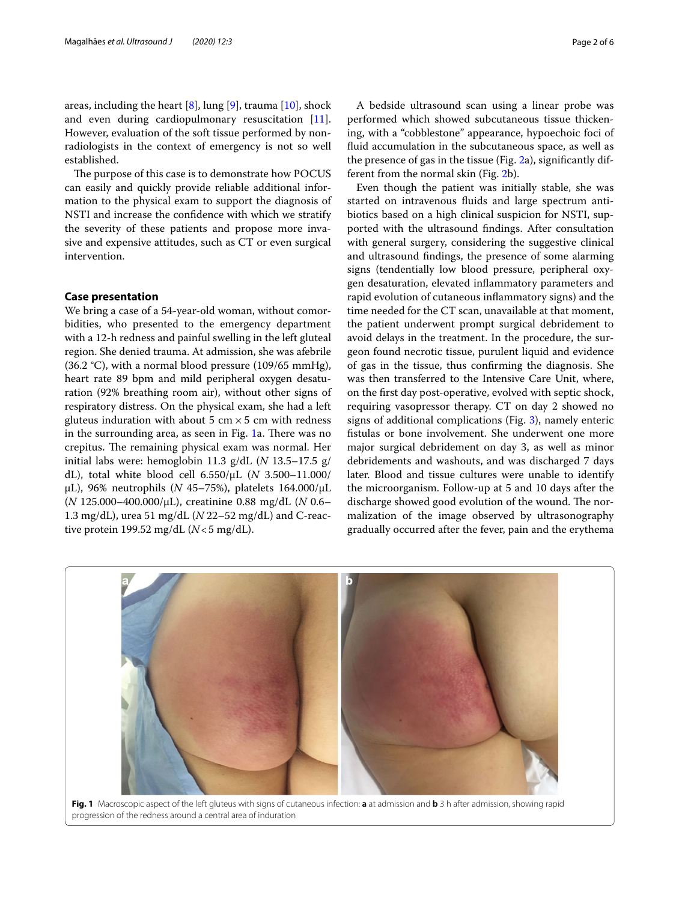areas, including the heart [[8\]](#page-4-5), lung [[9\]](#page-4-6), trauma [\[10](#page-4-7)], shock and even during cardiopulmonary resuscitation [\[11](#page-4-8)]. However, evaluation of the soft tissue performed by nonradiologists in the context of emergency is not so well established.

The purpose of this case is to demonstrate how POCUS can easily and quickly provide reliable additional information to the physical exam to support the diagnosis of NSTI and increase the confdence with which we stratify the severity of these patients and propose more invasive and expensive attitudes, such as CT or even surgical intervention.

#### **Case presentation**

We bring a case of a 54-year-old woman, without comorbidities, who presented to the emergency department with a 12-h redness and painful swelling in the left gluteal region. She denied trauma. At admission, she was afebrile (36.2 °C), with a normal blood pressure (109/65 mmHg), heart rate 89 bpm and mild peripheral oxygen desaturation (92% breathing room air), without other signs of respiratory distress. On the physical exam, she had a left gluteus induration with about 5 cm  $\times$  5 cm with redness in the surrounding area, as seen in Fig. [1](#page-1-0)a. There was no crepitus. The remaining physical exam was normal. Her initial labs were: hemoglobin 11.3 g/dL (*N* 13.5–17.5 g/ dL), total white blood cell 6.550/μL (*N* 3.500–11.000/ μL), 96% neutrophils (*N* 45–75%), platelets 164.000/μL (*N* 125.000–400.000/μL), creatinine 0.88 mg/dL (*N* 0.6– 1.3 mg/dL), urea 51 mg/dL (*N* 22–52 mg/dL) and C-reactive protein 199.52 mg/dL  $(N<5 \text{ mg/dL})$ .

A bedside ultrasound scan using a linear probe was performed which showed subcutaneous tissue thickening, with a "cobblestone" appearance, hypoechoic foci of fuid accumulation in the subcutaneous space, as well as the presence of gas in the tissue (Fig. [2](#page-2-0)a), signifcantly different from the normal skin (Fig. [2](#page-2-0)b).

Even though the patient was initially stable, she was started on intravenous fuids and large spectrum antibiotics based on a high clinical suspicion for NSTI, supported with the ultrasound fndings. After consultation with general surgery, considering the suggestive clinical and ultrasound fndings, the presence of some alarming signs (tendentially low blood pressure, peripheral oxygen desaturation, elevated infammatory parameters and rapid evolution of cutaneous infammatory signs) and the time needed for the CT scan, unavailable at that moment, the patient underwent prompt surgical debridement to avoid delays in the treatment. In the procedure, the surgeon found necrotic tissue, purulent liquid and evidence of gas in the tissue, thus confrming the diagnosis. She was then transferred to the Intensive Care Unit, where, on the frst day post-operative, evolved with septic shock, requiring vasopressor therapy. CT on day 2 showed no signs of additional complications (Fig. [3](#page-2-1)), namely enteric fstulas or bone involvement. She underwent one more major surgical debridement on day 3, as well as minor debridements and washouts, and was discharged 7 days later. Blood and tissue cultures were unable to identify the microorganism. Follow-up at 5 and 10 days after the discharge showed good evolution of the wound. The normalization of the image observed by ultrasonography gradually occurred after the fever, pain and the erythema

<span id="page-1-0"></span>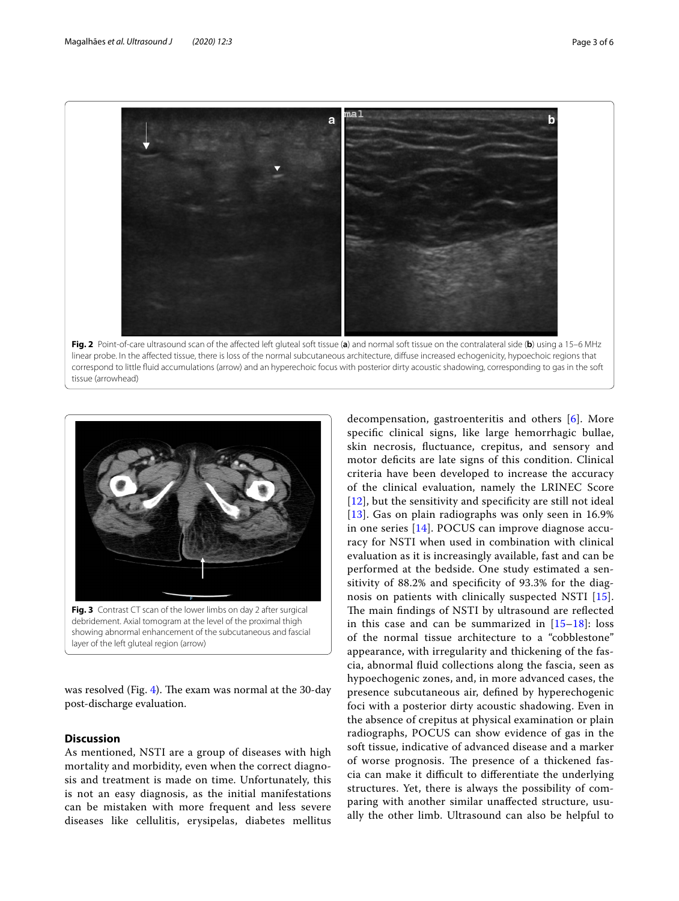

<span id="page-2-0"></span>



<span id="page-2-1"></span>was resolved (Fig. [4\)](#page-3-0). The exam was normal at the 30-day post-discharge evaluation.

### **Discussion**

As mentioned, NSTI are a group of diseases with high mortality and morbidity, even when the correct diagnosis and treatment is made on time. Unfortunately, this is not an easy diagnosis, as the initial manifestations can be mistaken with more frequent and less severe diseases like cellulitis, erysipelas, diabetes mellitus decompensation, gastroenteritis and others [[6\]](#page-4-3). More specifc clinical signs, like large hemorrhagic bullae, skin necrosis, fuctuance, crepitus, and sensory and motor deficits are late signs of this condition. Clinical criteria have been developed to increase the accuracy of the clinical evaluation, namely the LRINEC Score [[12](#page-4-9)], but the sensitivity and specificity are still not ideal [[13](#page-4-10)]. Gas on plain radiographs was only seen in 16.9% in one series [[14\]](#page-4-11). POCUS can improve diagnose accuracy for NSTI when used in combination with clinical evaluation as it is increasingly available, fast and can be performed at the bedside. One study estimated a sensitivity of 88.2% and specifcity of 93.3% for the diagnosis on patients with clinically suspected NSTI [[15](#page-4-12)]. The main findings of NSTI by ultrasound are reflected in this case and can be summarized in [\[15–](#page-4-12)[18\]](#page-5-0): loss of the normal tissue architecture to a "cobblestone" appearance, with irregularity and thickening of the fascia, abnormal fuid collections along the fascia, seen as hypoechogenic zones, and, in more advanced cases, the presence subcutaneous air, defned by hyperechogenic foci with a posterior dirty acoustic shadowing. Even in the absence of crepitus at physical examination or plain radiographs, POCUS can show evidence of gas in the soft tissue, indicative of advanced disease and a marker of worse prognosis. The presence of a thickened fascia can make it difficult to differentiate the underlying structures. Yet, there is always the possibility of comparing with another similar unafected structure, usually the other limb. Ultrasound can also be helpful to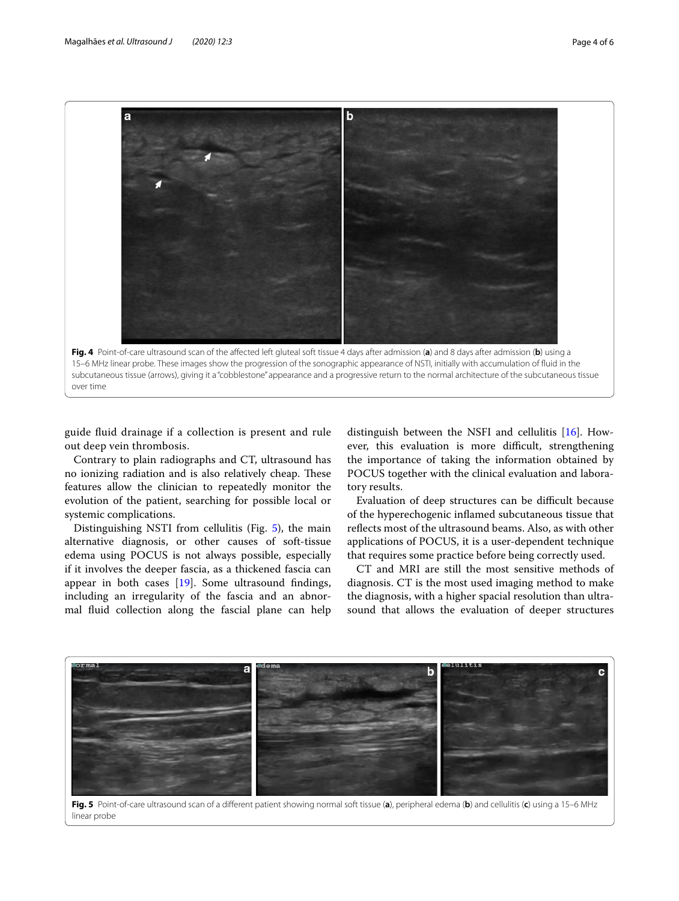

<span id="page-3-0"></span>guide fuid drainage if a collection is present and rule out deep vein thrombosis.

Contrary to plain radiographs and CT, ultrasound has no ionizing radiation and is also relatively cheap. These features allow the clinician to repeatedly monitor the evolution of the patient, searching for possible local or systemic complications.

Distinguishing NSTI from cellulitis (Fig. [5\)](#page-3-1), the main alternative diagnosis, or other causes of soft-tissue edema using POCUS is not always possible, especially if it involves the deeper fascia, as a thickened fascia can appear in both cases [[19\]](#page-5-1). Some ultrasound fndings, including an irregularity of the fascia and an abnormal fuid collection along the fascial plane can help distinguish between the NSFI and cellulitis [[16\]](#page-5-2). However, this evaluation is more difficult, strengthening the importance of taking the information obtained by POCUS together with the clinical evaluation and laboratory results.

Evaluation of deep structures can be difficult because of the hyperechogenic infamed subcutaneous tissue that refects most of the ultrasound beams. Also, as with other applications of POCUS, it is a user-dependent technique that requires some practice before being correctly used.

CT and MRI are still the most sensitive methods of diagnosis. CT is the most used imaging method to make the diagnosis, with a higher spacial resolution than ultrasound that allows the evaluation of deeper structures



<span id="page-3-1"></span>**Fig. 5** Point-of-care ultrasound scan of a diferent patient showing normal soft tissue (**a**), peripheral edema (**b**) and cellulitis (**c**) using a 15–6 MHz linear probe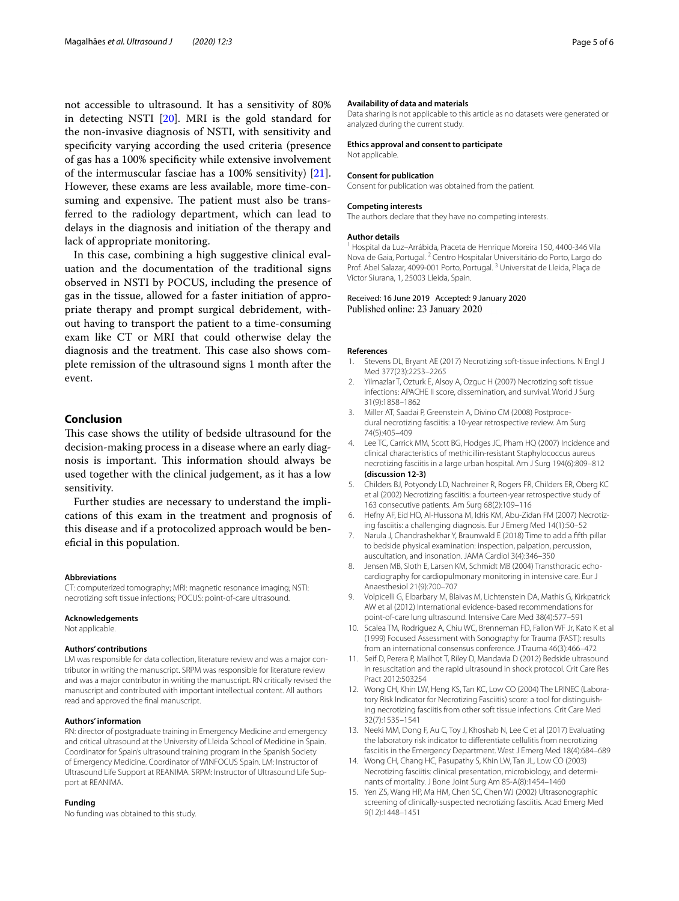not accessible to ultrasound. It has a sensitivity of 80% in detecting NSTI [[20\]](#page-5-3). MRI is the gold standard for the non-invasive diagnosis of NSTI, with sensitivity and specifcity varying according the used criteria (presence of gas has a 100% specifcity while extensive involvement of the intermuscular fasciae has a 100% sensitivity) [\[21](#page-5-4)]. However, these exams are less available, more time-consuming and expensive. The patient must also be transferred to the radiology department, which can lead to delays in the diagnosis and initiation of the therapy and lack of appropriate monitoring.

In this case, combining a high suggestive clinical evaluation and the documentation of the traditional signs observed in NSTI by POCUS, including the presence of gas in the tissue, allowed for a faster initiation of appropriate therapy and prompt surgical debridement, without having to transport the patient to a time-consuming exam like CT or MRI that could otherwise delay the diagnosis and the treatment. This case also shows complete remission of the ultrasound signs 1 month after the event.

#### **Conclusion**

This case shows the utility of bedside ultrasound for the decision-making process in a disease where an early diagnosis is important. This information should always be used together with the clinical judgement, as it has a low sensitivity.

Further studies are necessary to understand the implications of this exam in the treatment and prognosis of this disease and if a protocolized approach would be benefcial in this population.

#### **Abbreviations**

CT: computerized tomography; MRI: magnetic resonance imaging; NSTI: necrotizing soft tissue infections; POCUS: point-of-care ultrasound.

#### **Acknowledgements**

Not applicable.

#### **Authors' contributions**

LM was responsible for data collection, literature review and was a major contributor in writing the manuscript. SRPM was responsible for literature review and was a major contributor in writing the manuscript. RN critically revised the manuscript and contributed with important intellectual content. All authors read and approved the fnal manuscript.

#### **Authors' information**

RN: director of postgraduate training in Emergency Medicine and emergency and critical ultrasound at the University of Lleida School of Medicine in Spain. Coordinator for Spain's ultrasound training program in the Spanish Society of Emergency Medicine. Coordinator of WINFOCUS Spain. LM: Instructor of Ultrasound Life Support at REANIMA. SRPM: Instructor of Ultrasound Life Support at REANIMA.

#### **Funding**

No funding was obtained to this study.

#### **Availability of data and materials**

Data sharing is not applicable to this article as no datasets were generated or analyzed during the current study.

#### **Ethics approval and consent to participate**

Not applicable.

#### **Consent for publication**

Consent for publication was obtained from the patient.

#### **Competing interests**

The authors declare that they have no competing interests.

#### **Author details**

<sup>1</sup> Hospital da Luz–Arrábida, Praceta de Henrique Moreira 150, 4400-346 Vila Nova de Gaia, Portugal. <sup>2</sup> Centro Hospitalar Universitário do Porto, Largo do Prof. Abel Salazar, 4099-001 Porto, Portugal.<sup>3</sup> Universitat de Lleida, Plaça de Víctor Siurana, 1, 25003 Lleida, Spain.

#### Received: 16 June 2019 Accepted: 9 January 2020 Published online: 23 January 2020

#### **References**

- <span id="page-4-0"></span>1. Stevens DL, Bryant AE (2017) Necrotizing soft-tissue infections. N Engl J Med 377(23):2253–2265
- <span id="page-4-1"></span>2. Yilmazlar T, Ozturk E, Alsoy A, Ozguc H (2007) Necrotizing soft tissue infections: APACHE II score, dissemination, and survival. World J Surg 31(9):1858–1862
- 3. Miller AT, Saadai P, Greenstein A, Divino CM (2008) Postprocedural necrotizing fasciitis: a 10-year retrospective review. Am Surg 74(5):405–409
- 4. Lee TC, Carrick MM, Scott BG, Hodges JC, Pham HQ (2007) Incidence and clinical characteristics of methicillin-resistant Staphylococcus aureus necrotizing fasciitis in a large urban hospital. Am J Surg 194(6):809–812 **(discussion 12-3)**
- <span id="page-4-2"></span>5. Childers BJ, Potyondy LD, Nachreiner R, Rogers FR, Childers ER, Oberg KC et al (2002) Necrotizing fasciitis: a fourteen-year retrospective study of 163 consecutive patients. Am Surg 68(2):109–116
- <span id="page-4-3"></span>6. Hefny AF, Eid HO, Al-Hussona M, Idris KM, Abu-Zidan FM (2007) Necrotizing fasciitis: a challenging diagnosis. Eur J Emerg Med 14(1):50–52
- <span id="page-4-4"></span>7. Narula J, Chandrashekhar Y, Braunwald E (2018) Time to add a ffth pillar to bedside physical examination: inspection, palpation, percussion, auscultation, and insonation. JAMA Cardiol 3(4):346–350
- <span id="page-4-5"></span>8. Jensen MB, Sloth E, Larsen KM, Schmidt MB (2004) Transthoracic echocardiography for cardiopulmonary monitoring in intensive care. Eur J Anaesthesiol 21(9):700–707
- <span id="page-4-6"></span>9. Volpicelli G, Elbarbary M, Blaivas M, Lichtenstein DA, Mathis G, Kirkpatrick AW et al (2012) International evidence-based recommendations for point-of-care lung ultrasound. Intensive Care Med 38(4):577–591
- <span id="page-4-7"></span>10. Scalea TM, Rodriguez A, Chiu WC, Brenneman FD, Fallon WF Jr, Kato K et al (1999) Focused Assessment with Sonography for Trauma (FAST): results from an international consensus conference. J Trauma 46(3):466–472
- <span id="page-4-8"></span>11. Seif D, Perera P, Mailhot T, Riley D, Mandavia D (2012) Bedside ultrasound in resuscitation and the rapid ultrasound in shock protocol. Crit Care Res Pract 2012:503254
- <span id="page-4-9"></span>12. Wong CH, Khin LW, Heng KS, Tan KC, Low CO (2004) The LRINEC (Laboratory Risk Indicator for Necrotizing Fasciitis) score: a tool for distinguishing necrotizing fasciitis from other soft tissue infections. Crit Care Med 32(7):1535–1541
- <span id="page-4-10"></span>13. Neeki MM, Dong F, Au C, Toy J, Khoshab N, Lee C et al (2017) Evaluating the laboratory risk indicator to diferentiate cellulitis from necrotizing fasciitis in the Emergency Department. West J Emerg Med 18(4):684–689
- <span id="page-4-11"></span>14. Wong CH, Chang HC, Pasupathy S, Khin LW, Tan JL, Low CO (2003) Necrotizing fasciitis: clinical presentation, microbiology, and determinants of mortality. J Bone Joint Surg Am 85-A(8):1454–1460
- <span id="page-4-12"></span>15. Yen ZS, Wang HP, Ma HM, Chen SC, Chen WJ (2002) Ultrasonographic screening of clinically-suspected necrotizing fasciitis. Acad Emerg Med 9(12):1448–1451